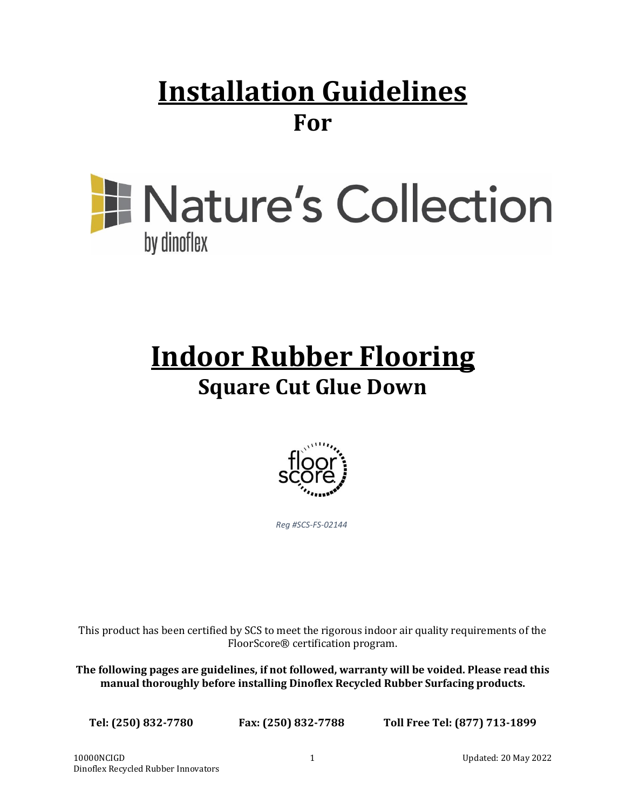## **Installation Guidelines For**

# **E** Nature's Collection by dinoflex

## **Indoor Rubber Flooring Square Cut Glue Down**



*Reg #SCS-FS-02144*

This product has been certified by SCS to meet the rigorous indoor air quality requirements of the FloorScore® certification program.

**The following pages are guidelines, if not followed, warranty will be voided. Please read this manual thoroughly before installing Dinoflex Recycled Rubber Surfacing products.**

**Tel: (250) 832-7780 Fax: (250) 832-7788 Toll Free Tel: (877) 713-1899**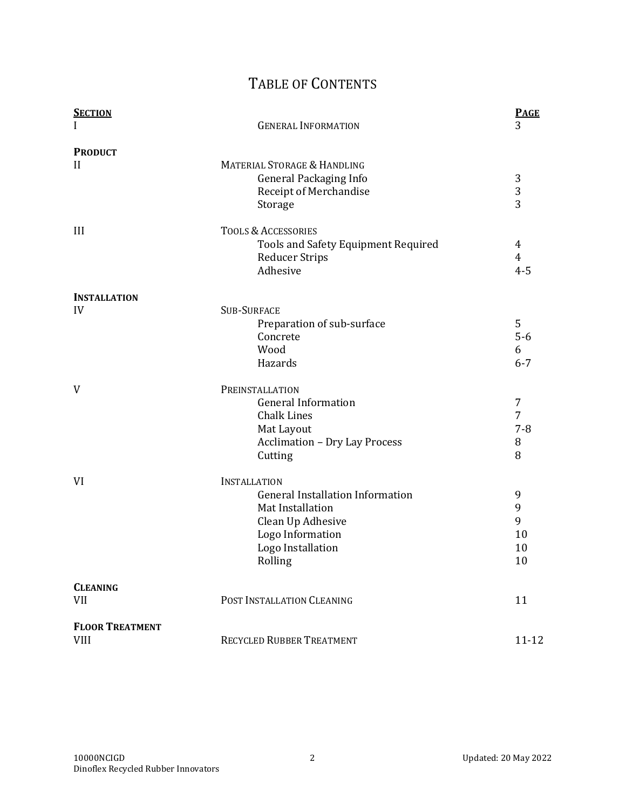### TABLE OF CONTENTS

| <b>SECTION</b>         |                                         | <b>PAGE</b>    |
|------------------------|-----------------------------------------|----------------|
| I                      | <b>GENERAL INFORMATION</b>              | 3              |
| <b>PRODUCT</b>         |                                         |                |
| $\mathbf{H}$           | <b>MATERIAL STORAGE &amp; HANDLING</b>  |                |
|                        | <b>General Packaging Info</b>           | 3              |
|                        | Receipt of Merchandise                  | 3              |
|                        | Storage                                 | $\overline{3}$ |
| III                    | <b>TOOLS &amp; ACCESSORIES</b>          |                |
|                        | Tools and Safety Equipment Required     | 4              |
|                        | <b>Reducer Strips</b>                   | $\overline{4}$ |
|                        | Adhesive                                | $4 - 5$        |
| <b>INSTALLATION</b>    |                                         |                |
| IV                     | <b>SUB-SURFACE</b>                      |                |
|                        | Preparation of sub-surface              | 5              |
|                        | Concrete                                | $5-6$          |
|                        | Wood                                    | 6              |
|                        | Hazards                                 | $6 - 7$        |
| V                      | PREINSTALLATION                         |                |
|                        | <b>General Information</b>              | 7              |
|                        | <b>Chalk Lines</b>                      | 7              |
|                        | Mat Layout                              | $7 - 8$        |
|                        | <b>Acclimation - Dry Lay Process</b>    | 8              |
|                        | Cutting                                 | 8              |
| VI                     | <b>INSTALLATION</b>                     |                |
|                        | <b>General Installation Information</b> | 9              |
|                        | Mat Installation                        | 9              |
|                        | Clean Up Adhesive                       | 9              |
|                        | Logo Information                        | 10             |
|                        | Logo Installation                       | 10             |
|                        | Rolling                                 | 10             |
| <b>CLEANING</b>        |                                         |                |
| <b>VII</b>             | POST INSTALLATION CLEANING              | 11             |
| <b>FLOOR TREATMENT</b> |                                         |                |
| <b>VIII</b>            | RECYCLED RUBBER TREATMENT               | $11 - 12$      |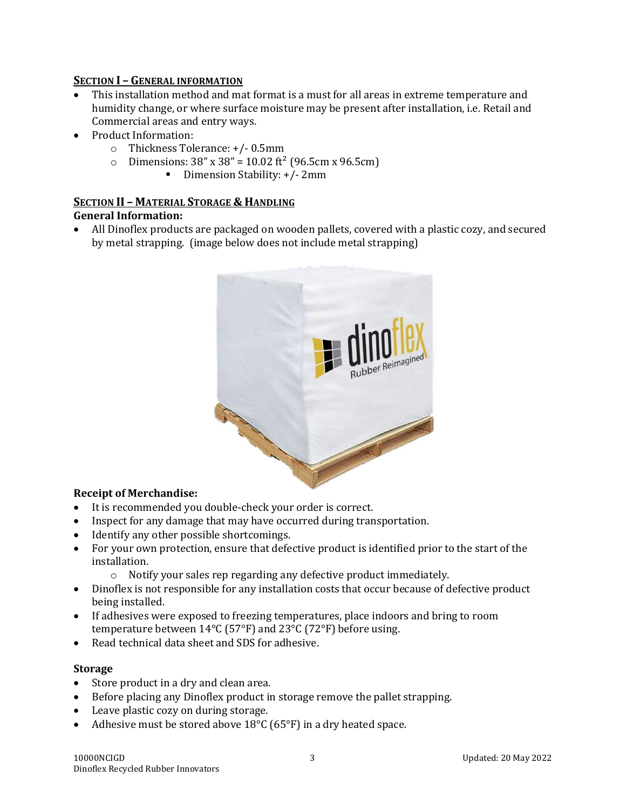#### **SECTION I – GENERAL INFORMATION**

- This installation method and mat format is a must for all areas in extreme temperature and humidity change, or where surface moisture may be present after installation, i.e. Retail and Commercial areas and entry ways.
- Product Information:
	- o Thickness Tolerance: +/- 0.5mm
	- $\degree$  Dimensions: 38" x 38" = 10.02 ft<sup>2</sup> (96.5cm x 96.5cm)
		- Dimension Stability: +/- 2mm

#### **SECTION II – MATERIAL STORAGE & HANDLING**

#### **General Information:**

• All Dinoflex products are packaged on wooden pallets, covered with a plastic cozy, and secured by metal strapping. (image below does not include metal strapping)



#### **Receipt of Merchandise:**

- It is recommended you double-check your order is correct.
- Inspect for any damage that may have occurred during transportation.
- Identify any other possible shortcomings.
- For your own protection, ensure that defective product is identified prior to the start of the installation.
	- o Notify your sales rep regarding any defective product immediately.
- Dinoflex is not responsible for any installation costs that occur because of defective product being installed.
- If adhesives were exposed to freezing temperatures, place indoors and bring to room temperature between 14°C (57°F) and 23°C (72°F) before using.
- Read technical data sheet and SDS for adhesive.

#### **Storage**

- Store product in a dry and clean area.
- Before placing any Dinoflex product in storage remove the pallet strapping.
- Leave plastic cozy on during storage.
- Adhesive must be stored above 18°C (65°F) in a dry heated space.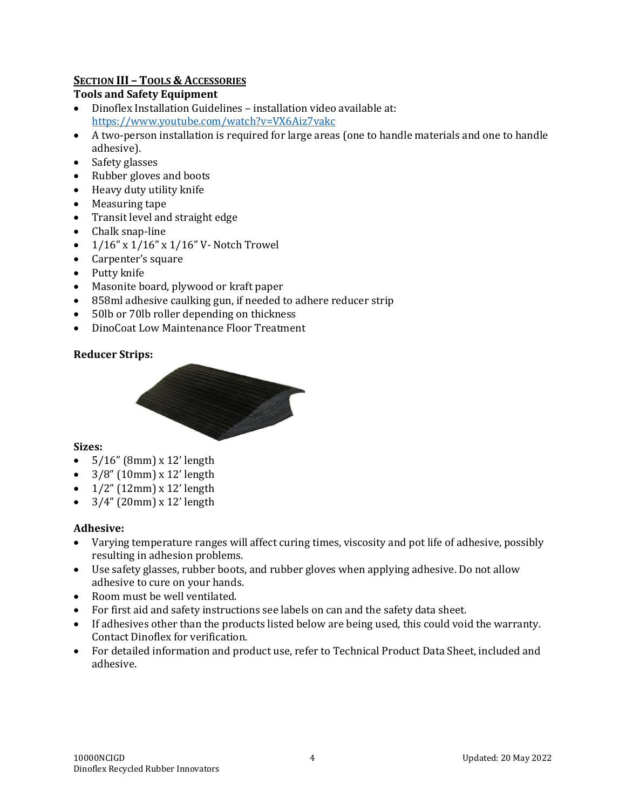#### **SECTION III – TOOLS & ACCESSORIES**

#### **Tools and Safety Equipment**

- Dinoflex Installation Guidelines installation video available at: <https://www.youtube.com/watch?v=VX6Aiz7vakc>
- A two-person installation is required for large areas (one to handle materials and one to handle adhesive).
- Safety glasses
- Rubber gloves and boots
- Heavy duty utility knife
- Measuring tape
- Transit level and straight edge
- Chalk snap-line
- 1/16" x 1/16" x 1/16" V- Notch Trowel
- Carpenter's square
- Putty knife
- Masonite board, plywood or kraft paper
- 858ml adhesive caulking gun, if needed to adhere reducer strip
- 50lb or 70lb roller depending on thickness
- DinoCoat Low Maintenance Floor Treatment

#### **Reducer Strips:**



#### **Sizes:**

- $5/16$ " (8mm) x 12' length
- $\bullet$  3/8" (10mm) x 12' length
- $\bullet$  1/2" (12mm) x 12' length
- $\bullet$  3/4" (20mm) x 12' length

#### **Adhesive:**

- Varying temperature ranges will affect curing times, viscosity and pot life of adhesive, possibly resulting in adhesion problems.
- Use safety glasses, rubber boots, and rubber gloves when applying adhesive. Do not allow adhesive to cure on your hands.
- Room must be well ventilated.
- For first aid and safety instructions see labels on can and the safety data sheet.
- If adhesives other than the products listed below are being used, this could void the warranty. Contact Dinoflex for verification.
- For detailed information and product use, refer to Technical Product Data Sheet, included and adhesive.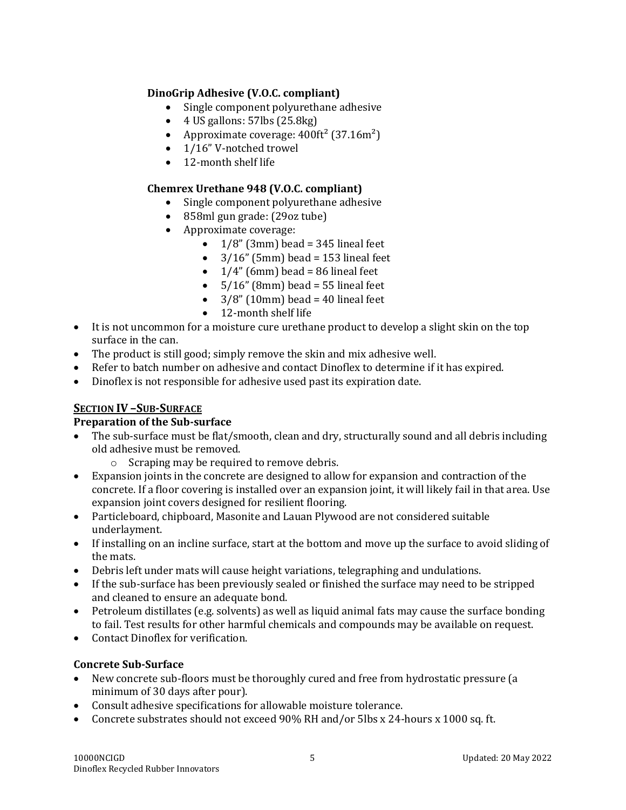#### **DinoGrip Adhesive (V.O.C. compliant)**

- Single component polyurethane adhesive
- $\bullet$  4 US gallons: 57lbs (25.8kg)
- Approximate coverage:  $400 \text{ft}^2$  (37.16m<sup>2</sup>)
- 1/16" V-notched trowel
- 12-month shelf life

#### **Chemrex Urethane 948 (V.O.C. compliant)**

- Single component polyurethane adhesive
- 858ml gun grade: (29oz tube)
- Approximate coverage:
	- $1/8$ " (3mm) bead = 345 lineal feet
	- $3/16$ " (5mm) bead = 153 lineal feet
	- $\bullet$  1/4" (6mm) bead = 86 lineal feet
	- $\bullet$  5/16" (8mm) bead = 55 lineal feet
	- $\bullet$  3/8" (10mm) bead = 40 lineal feet
	- 12-month shelf life
- It is not uncommon for a moisture cure urethane product to develop a slight skin on the top surface in the can.
- The product is still good; simply remove the skin and mix adhesive well.
- Refer to batch number on adhesive and contact Dinoflex to determine if it has expired.
- Dinoflex is not responsible for adhesive used past its expiration date.

#### **SECTION IV –SUB-SURFACE**

#### **Preparation of the Sub-surface**

- The sub-surface must be flat/smooth, clean and dry, structurally sound and all debris including old adhesive must be removed.
	- o Scraping may be required to remove debris.
- Expansion joints in the concrete are designed to allow for expansion and contraction of the concrete. If a floor covering is installed over an expansion joint, it will likely fail in that area. Use expansion joint covers designed for resilient flooring.
- Particleboard, chipboard, Masonite and Lauan Plywood are not considered suitable underlayment.
- If installing on an incline surface, start at the bottom and move up the surface to avoid sliding of the mats.
- Debris left under mats will cause height variations, telegraphing and undulations.
- If the sub-surface has been previously sealed or finished the surface may need to be stripped and cleaned to ensure an adequate bond.
- Petroleum distillates (e.g. solvents) as well as liquid animal fats may cause the surface bonding to fail. Test results for other harmful chemicals and compounds may be available on request.
- Contact Dinoflex for verification.

#### **Concrete Sub-Surface**

- New concrete sub-floors must be thoroughly cured and free from hydrostatic pressure (a minimum of 30 days after pour).
- Consult adhesive specifications for allowable moisture tolerance.
- Concrete substrates should not exceed 90% RH and/or 5lbs x 24-hours x 1000 sq. ft.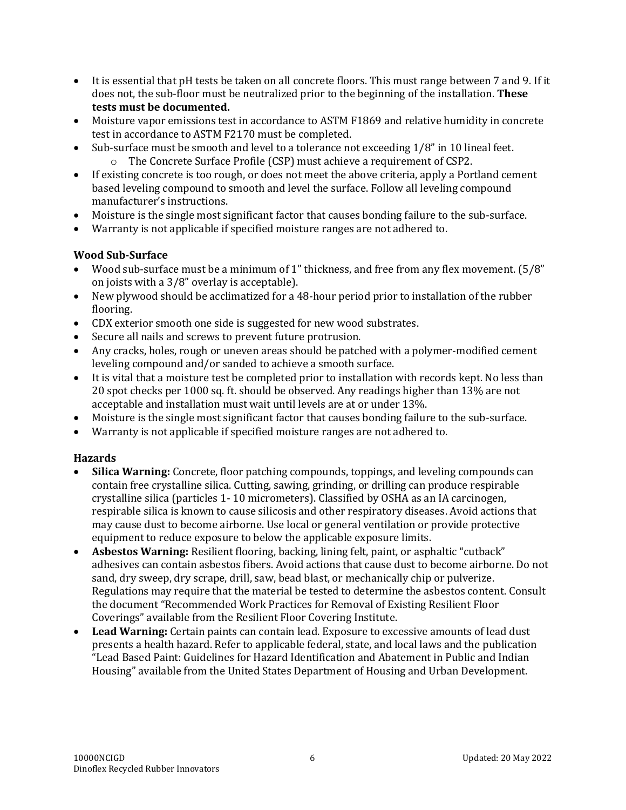- It is essential that pH tests be taken on all concrete floors. This must range between 7 and 9. If it does not, the sub-floor must be neutralized prior to the beginning of the installation. **These tests must be documented.**
- Moisture vapor emissions test in accordance to ASTM F1869 and relative humidity in concrete test in accordance to ASTM F2170 must be completed.
- Sub-surface must be smooth and level to a tolerance not exceeding 1/8" in 10 lineal feet.
	- o The Concrete Surface Profile (CSP) must achieve a requirement of CSP2.
- If existing concrete is too rough, or does not meet the above criteria, apply a Portland cement based leveling compound to smooth and level the surface. Follow all leveling compound manufacturer's instructions.
- Moisture is the single most significant factor that causes bonding failure to the sub-surface.
- Warranty is not applicable if specified moisture ranges are not adhered to.

#### **Wood Sub-Surface**

- Wood sub-surface must be a minimum of 1" thickness, and free from any flex movement. (5/8" on joists with a 3/8" overlay is acceptable).
- New plywood should be acclimatized for a 48-hour period prior to installation of the rubber flooring.
- CDX exterior smooth one side is suggested for new wood substrates.
- Secure all nails and screws to prevent future protrusion.
- Any cracks, holes, rough or uneven areas should be patched with a polymer-modified cement leveling compound and/or sanded to achieve a smooth surface.
- It is vital that a moisture test be completed prior to installation with records kept. No less than 20 spot checks per 1000 sq. ft. should be observed. Any readings higher than 13% are not acceptable and installation must wait until levels are at or under 13%.
- Moisture is the single most significant factor that causes bonding failure to the sub-surface.
- Warranty is not applicable if specified moisture ranges are not adhered to.

#### **Hazards**

- **Silica Warning:** Concrete, floor patching compounds, toppings, and leveling compounds can contain free crystalline silica. Cutting, sawing, grinding, or drilling can produce respirable crystalline silica (particles 1- 10 micrometers). Classified by OSHA as an IA carcinogen, respirable silica is known to cause silicosis and other respiratory diseases. Avoid actions that may cause dust to become airborne. Use local or general ventilation or provide protective equipment to reduce exposure to below the applicable exposure limits.
- **Asbestos Warning:** Resilient flooring, backing, lining felt, paint, or asphaltic "cutback" adhesives can contain asbestos fibers. Avoid actions that cause dust to become airborne. Do not sand, dry sweep, dry scrape, drill, saw, bead blast, or mechanically chip or pulverize. Regulations may require that the material be tested to determine the asbestos content. Consult the document "Recommended Work Practices for Removal of Existing Resilient Floor Coverings" available from the Resilient Floor Covering Institute.
- **Lead Warning:** Certain paints can contain lead. Exposure to excessive amounts of lead dust presents a health hazard. Refer to applicable federal, state, and local laws and the publication "Lead Based Paint: Guidelines for Hazard Identification and Abatement in Public and Indian Housing" available from the United States Department of Housing and Urban Development.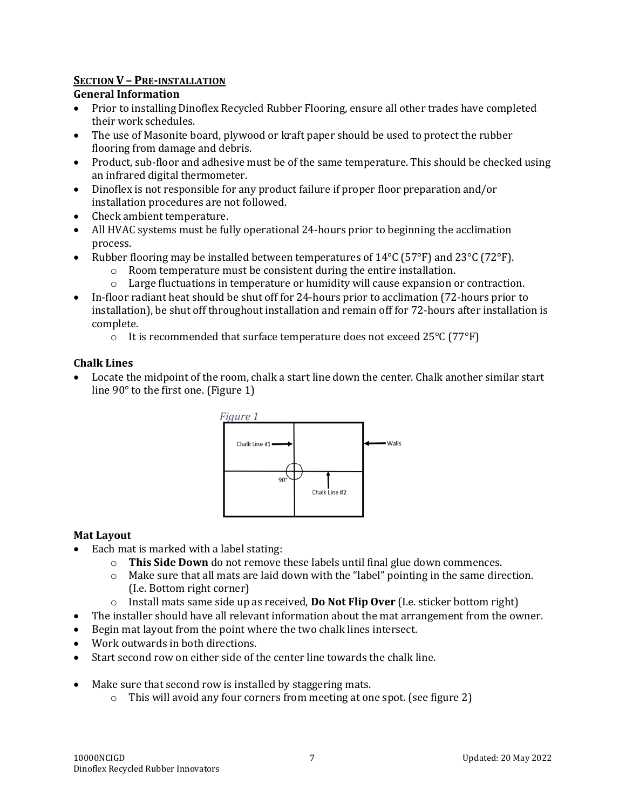#### **SECTION V – PRE-INSTALLATION**

#### **General Information**

- Prior to installing Dinoflex Recycled Rubber Flooring, ensure all other trades have completed their work schedules.
- The use of Masonite board, plywood or kraft paper should be used to protect the rubber flooring from damage and debris.
- Product, sub-floor and adhesive must be of the same temperature. This should be checked using an infrared digital thermometer.
- Dinoflex is not responsible for any product failure if proper floor preparation and/or installation procedures are not followed.
- Check ambient temperature.
- All HVAC systems must be fully operational 24-hours prior to beginning the acclimation process.
- Rubber flooring may be installed between temperatures of  $14^{\circ}C$  (57°F) and 23°C (72°F).
	- o Room temperature must be consistent during the entire installation.
	- o Large fluctuations in temperature or humidity will cause expansion or contraction.
- In-floor radiant heat should be shut off for 24-hours prior to acclimation (72-hours prior to installation), be shut off throughout installation and remain off for 72-hours after installation is complete.
	- o It is recommended that surface temperature does not exceed 25°C (77°F)

#### **Chalk Lines**

• Locate the midpoint of the room, chalk a start line down the center. Chalk another similar start line 90° to the first one. (Figure 1)



#### **Mat Layout**

- Each mat is marked with a label stating:
	- o **This Side Down** do not remove these labels until final glue down commences.
	- $\circ$  Make sure that all mats are laid down with the "label" pointing in the same direction. (I.e. Bottom right corner)
	- o Install mats same side up as received, **Do Not Flip Over** (I.e. sticker bottom right)
- The installer should have all relevant information about the mat arrangement from the owner.
- Begin mat layout from the point where the two chalk lines intersect.
- Work outwards in both directions.
- Start second row on either side of the center line towards the chalk line.
- Make sure that second row is installed by staggering mats.
	- o This will avoid any four corners from meeting at one spot. (see figure 2)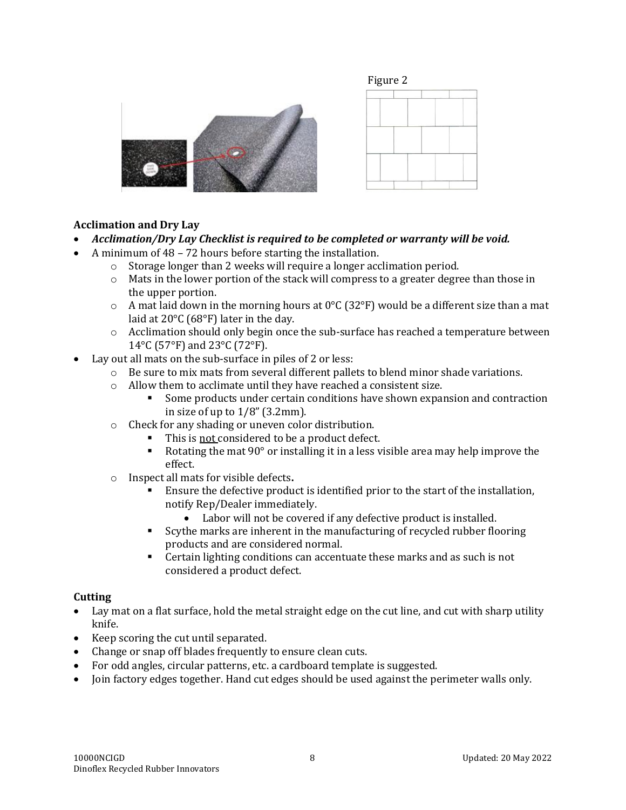





#### **Acclimation and Dry Lay**

- *Acclimation/Dry Lay Checklist is required to be completed or warranty will be void.*
- A minimum of 48 72 hours before starting the installation.
	- o Storage longer than 2 weeks will require a longer acclimation period.
	- $\circ$  Mats in the lower portion of the stack will compress to a greater degree than those in the upper portion.
	- $\circ$  A mat laid down in the morning hours at 0°C (32°F) would be a different size than a mat laid at 20°C (68°F) later in the day.
	- o Acclimation should only begin once the sub-surface has reached a temperature between 14°C (57°F) and 23°C (72°F).
- Lay out all mats on the sub-surface in piles of 2 or less:
	- $\circ$  Be sure to mix mats from several different pallets to blend minor shade variations.
	- o Allow them to acclimate until they have reached a consistent size.
		- Some products under certain conditions have shown expansion and contraction in size of up to  $1/8$ " (3.2mm).
	- o Check for any shading or uneven color distribution.
		- This is not considered to be a product defect.
		- EXECT Rotating the mat  $90^{\circ}$  or installing it in a less visible area may help improve the effect.
	- o Inspect all mats for visible defects**.**
		- Ensure the defective product is identified prior to the start of the installation, notify Rep/Dealer immediately.
			- Labor will not be covered if any defective product is installed.
		- Scythe marks are inherent in the manufacturing of recycled rubber flooring products and are considered normal.
		- Certain lighting conditions can accentuate these marks and as such is not considered a product defect.

#### **Cutting**

- Lay mat on a flat surface, hold the metal straight edge on the cut line, and cut with sharp utility knife.
- Keep scoring the cut until separated.
- Change or snap off blades frequently to ensure clean cuts.
- For odd angles, circular patterns, etc. a cardboard template is suggested.
- Join factory edges together. Hand cut edges should be used against the perimeter walls only.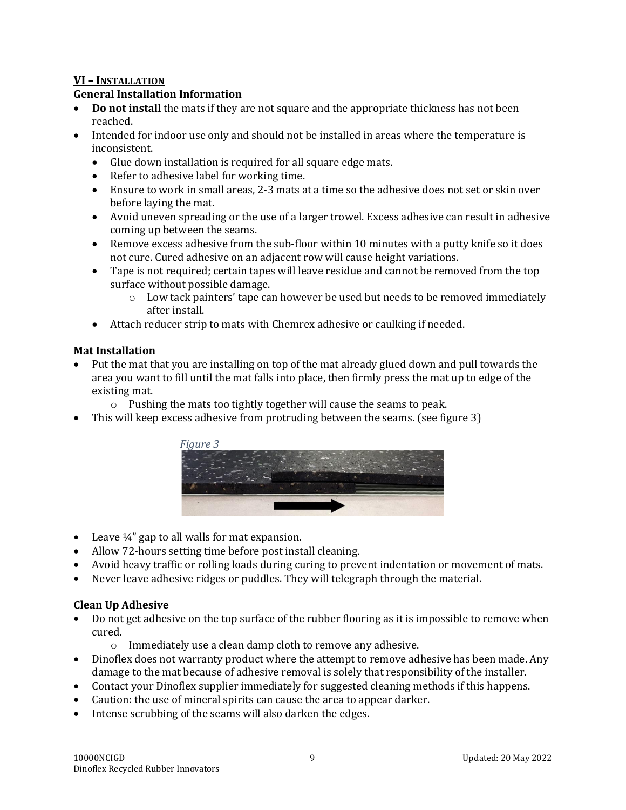#### **VI – INSTALLATION**

#### **General Installation Information**

- **Do not install** the mats if they are not square and the appropriate thickness has not been reached.
- Intended for indoor use only and should not be installed in areas where the temperature is inconsistent.
	- Glue down installation is required for all square edge mats.
	- Refer to adhesive label for working time.
	- Ensure to work in small areas, 2-3 mats at a time so the adhesive does not set or skin over before laying the mat.
	- Avoid uneven spreading or the use of a larger trowel. Excess adhesive can result in adhesive coming up between the seams.
	- Remove excess adhesive from the sub-floor within 10 minutes with a putty knife so it does not cure. Cured adhesive on an adjacent row will cause height variations.
	- Tape is not required; certain tapes will leave residue and cannot be removed from the top surface without possible damage.
		- $\circ$  Low tack painters' tape can however be used but needs to be removed immediately after install.
	- Attach reducer strip to mats with Chemrex adhesive or caulking if needed.

#### **Mat Installation**

- Put the mat that you are installing on top of the mat already glued down and pull towards the area you want to fill until the mat falls into place, then firmly press the mat up to edge of the existing mat.
	- o Pushing the mats too tightly together will cause the seams to peak.
- This will keep excess adhesive from protruding between the seams. (see figure 3)



- Leave  $\frac{1}{4}$ " gap to all walls for mat expansion.
- Allow 72-hours setting time before post install cleaning.
- Avoid heavy traffic or rolling loads during curing to prevent indentation or movement of mats.
- Never leave adhesive ridges or puddles. They will telegraph through the material.

#### **Clean Up Adhesive**

- Do not get adhesive on the top surface of the rubber flooring as it is impossible to remove when cured.
	- o Immediately use a clean damp cloth to remove any adhesive.
- Dinoflex does not warranty product where the attempt to remove adhesive has been made. Any damage to the mat because of adhesive removal is solely that responsibility of the installer.
- Contact your Dinoflex supplier immediately for suggested cleaning methods if this happens.
- Caution: the use of mineral spirits can cause the area to appear darker.
- Intense scrubbing of the seams will also darken the edges.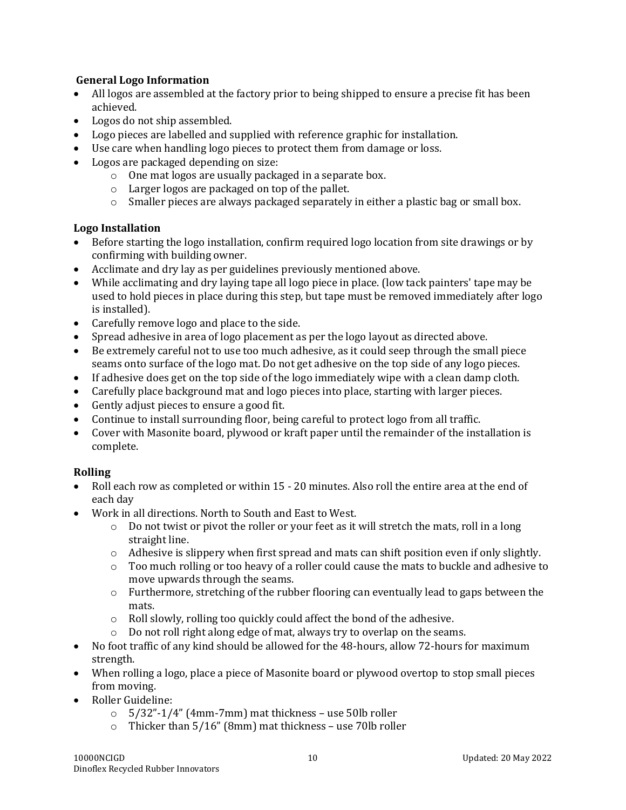#### **General Logo Information**

- All logos are assembled at the factory prior to being shipped to ensure a precise fit has been achieved.
- Logos do not ship assembled.
- Logo pieces are labelled and supplied with reference graphic for installation.
- Use care when handling logo pieces to protect them from damage or loss.
- Logos are packaged depending on size:
	- o One mat logos are usually packaged in a separate box.
	- o Larger logos are packaged on top of the pallet.
	- $\circ$  Smaller pieces are always packaged separately in either a plastic bag or small box.

#### **Logo Installation**

- Before starting the logo installation, confirm required logo location from site drawings or by confirming with building owner.
- Acclimate and dry lay as per guidelines previously mentioned above.
- While acclimating and dry laying tape all logo piece in place. (low tack painters' tape may be used to hold pieces in place during this step, but tape must be removed immediately after logo is installed).
- Carefully remove logo and place to the side.
- Spread adhesive in area of logo placement as per the logo layout as directed above.
- Be extremely careful not to use too much adhesive, as it could seep through the small piece seams onto surface of the logo mat. Do not get adhesive on the top side of any logo pieces.
- If adhesive does get on the top side of the logo immediately wipe with a clean damp cloth.
- Carefully place background mat and logo pieces into place, starting with larger pieces.
- Gently adjust pieces to ensure a good fit.
- Continue to install surrounding floor, being careful to protect logo from all traffic.
- Cover with Masonite board, plywood or kraft paper until the remainder of the installation is complete.

#### **Rolling**

- Roll each row as completed or within 15 20 minutes. Also roll the entire area at the end of each day
- Work in all directions. North to South and East to West.
	- $\circ$  Do not twist or pivot the roller or your feet as it will stretch the mats, roll in a long straight line.
	- $\circ$  Adhesive is slippery when first spread and mats can shift position even if only slightly.
	- $\circ$  Too much rolling or too heavy of a roller could cause the mats to buckle and adhesive to move upwards through the seams.
	- $\circ$  Furthermore, stretching of the rubber flooring can eventually lead to gaps between the mats.
	- o Roll slowly, rolling too quickly could affect the bond of the adhesive.
	- o Do not roll right along edge of mat, always try to overlap on the seams.
- No foot traffic of any kind should be allowed for the 48-hours, allow 72-hours for maximum strength.
- When rolling a logo, place a piece of Masonite board or plywood overtop to stop small pieces from moving.
- Roller Guideline:
	- $\circ$  5/32"-1/4" (4mm-7mm) mat thickness use 50lb roller
	- $\circ$  Thicker than 5/16" (8mm) mat thickness use 70lb roller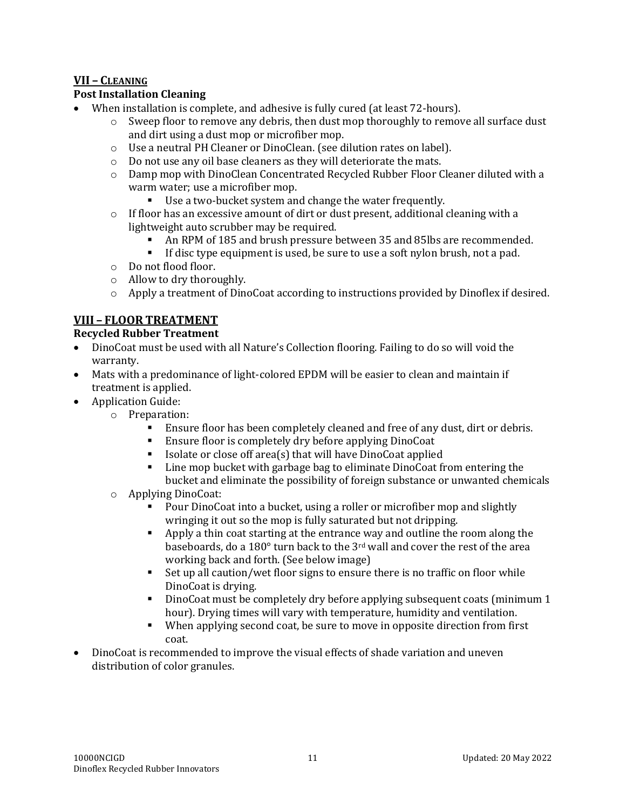#### **VII – CLEANING**

#### **Post Installation Cleaning**

- When installation is complete, and adhesive is fully cured (at least 72-hours).
	- $\circ$  Sweep floor to remove any debris, then dust mop thoroughly to remove all surface dust and dirt using a dust mop or microfiber mop.
	- o Use a neutral PH Cleaner or DinoClean. (see dilution rates on label).
	- o Do not use any oil base cleaners as they will deteriorate the mats.
	- o Damp mop with DinoClean Concentrated Recycled Rubber Floor Cleaner diluted with a warm water; use a microfiber mop.
		- Use a two-bucket system and change the water frequently.
	- $\circ$  If floor has an excessive amount of dirt or dust present, additional cleaning with a lightweight auto scrubber may be required.
		- An RPM of 185 and brush pressure between 35 and 85lbs are recommended.
		- **•** If disc type equipment is used, be sure to use a soft nylon brush, not a pad.
	- o Do not flood floor.
	- o Allow to dry thoroughly.
	- $\circ$  Apply a treatment of DinoCoat according to instructions provided by Dinoflex if desired.

#### **VIII – FLOOR TREATMENT**

#### **Recycled Rubber Treatment**

- DinoCoat must be used with all Nature's Collection flooring. Failing to do so will void the warranty.
- Mats with a predominance of light-colored EPDM will be easier to clean and maintain if treatment is applied.
- Application Guide:
	- o Preparation:
		- **Ensure floor has been completely cleaned and free of any dust, dirt or debris.**
		- Ensure floor is completely dry before applying DinoCoat
		- Isolate or close off area(s) that will have DinoCoat applied
		- Line mop bucket with garbage bag to eliminate DinoCoat from entering the bucket and eliminate the possibility of foreign substance or unwanted chemicals
	- o Applying DinoCoat:
		- Pour DinoCoat into a bucket, using a roller or microfiber mop and slightly wringing it out so the mop is fully saturated but not dripping.
		- Apply a thin coat starting at the entrance way and outline the room along the baseboards, do a 180° turn back to the 3rd wall and cover the rest of the area working back and forth. (See below image)
		- Set up all caution/wet floor signs to ensure there is no traffic on floor while DinoCoat is drying.
		- DinoCoat must be completely dry before applying subsequent coats (minimum 1 hour). Drying times will vary with temperature, humidity and ventilation.
		- When applying second coat, be sure to move in opposite direction from first coat.
- DinoCoat is recommended to improve the visual effects of shade variation and uneven distribution of color granules.